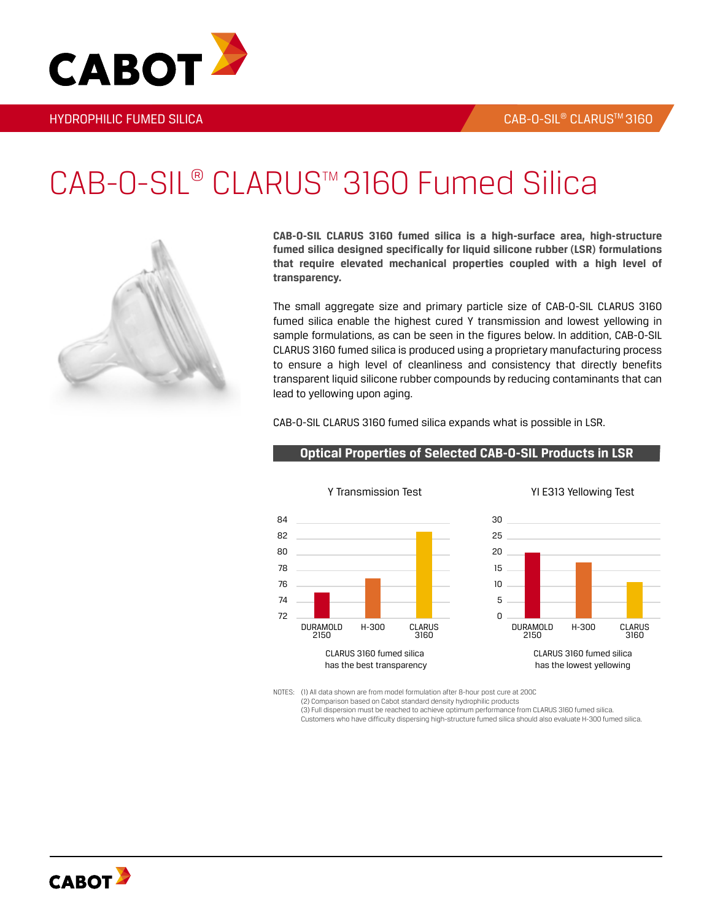3160



# CAB-O-SIL® CLARUS™3160 Fumed Silica



**CAB-O-SIL CLARUS 3160 fumed silica is a high-surface area, high-structure fumed silica designed specifically for liquid silicone rubber (LSR) formulations that require elevated mechanical properties coupled with a high level of transparency.**

The small aggregate size and primary particle size of CAB-O-SIL CLARUS 3160 fumed silica enable the highest cured Y transmission and lowest yellowing in sample formulations, as can be seen in the figures below. In addition, CAB-O-SIL CLARUS 3160 fumed silica is produced using a proprietary manufacturing process to ensure a high level of cleanliness and consistency that directly benefits transparent liquid silicone rubber compounds by reducing contaminants that can lead to yellowing upon aging.

CAB-O-SIL CLARUS 3160 fumed silica expands what is possible in LSR.



### **Optical Properties of Selected CAB-O-SIL Products in LSR**

NOTES: (1) All data shown are from model formulation after 8-hour post cure at 200C (2) Comparison based on Cabot standard density hydrophilic products (3) Full dispersion must be reached to achieve optimum performance from CLARUS 3160 fumed silica. Customers who have difficulty dispersing high-structure fumed silica should also evaluate H-300 fumed silica.